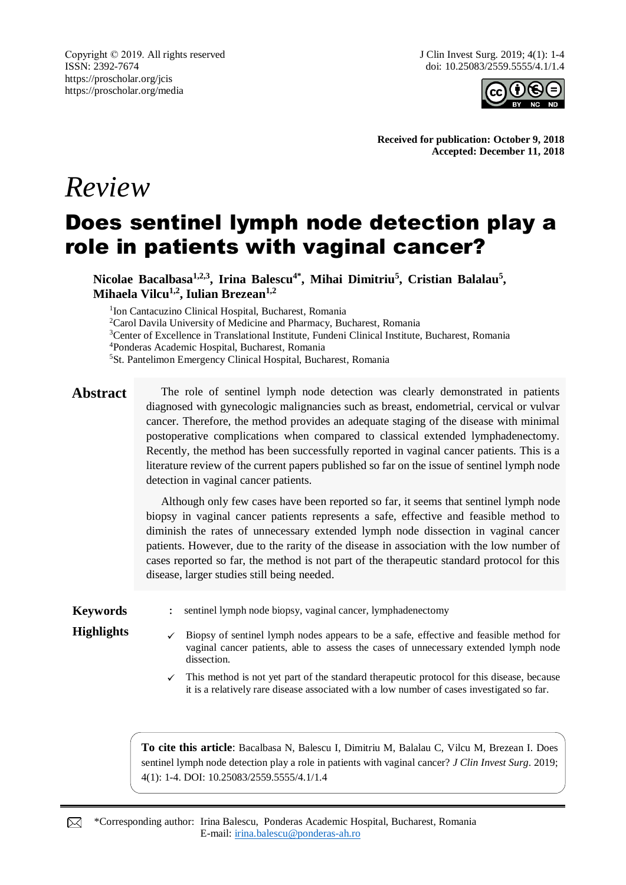

**Received for publication: October 9, 2018 Accepted: December 11, 2018**

# *Review*

## Does sentinel lymph node detection play a role in patients with vaginal cancer?

**Nicolae Bacalbasa1,2,3, Irina Balescu4\*, Mihai Dimitriu<sup>5</sup> , Cristian Balalau<sup>5</sup> , Mihaela Vilcu1,2, Iulian Brezean1,2**

<sup>1</sup>Ion Cantacuzino Clinical Hospital, Bucharest, Romania

<sup>2</sup>Carol Davila University of Medicine and Pharmacy, Bucharest, Romania

<sup>3</sup>Center of Excellence in Translational Institute, Fundeni Clinical Institute, Bucharest, Romania

<sup>4</sup>Ponderas Academic Hospital, Bucharest, Romania

<sup>5</sup>St. Pantelimon Emergency Clinical Hospital, Bucharest, Romania

**Abstract** The role of sentinel lymph node detection was clearly demonstrated in patients diagnosed with gynecologic malignancies such as breast, endometrial, cervical or vulvar cancer. Therefore, the method provides an adequate staging of the disease with minimal postoperative complications when compared to classical extended lymphadenectomy. Recently, the method has been successfully reported in vaginal cancer patients. This is a literature review of the current papers published so far on the issue of sentinel lymph node detection in vaginal cancer patients.

> Although only few cases have been reported so far, it seems that sentinel lymph node biopsy in vaginal cancer patients represents a safe, effective and feasible method to diminish the rates of unnecessary extended lymph node dissection in vaginal cancer patients. However, due to the rarity of the disease in association with the low number of cases reported so far, the method is not part of the therapeutic standard protocol for this disease, larger studies still being needed.

**Keywords** : sentinel lymph node biopsy, vaginal cancer, lymphadenectomy

- 
- **Highlights**  $\checkmark$  Biopsy of sentinel lymph nodes appears to be a safe, effective and feasible method for vaginal cancer patients, able to assess the cases of unnecessary extended lymph node dissection.
	- $\checkmark$  This method is not yet part of the standard therapeutic protocol for this disease, because it is a relatively rare disease associated with a low number of cases investigated so far.

**To cite this article**: Bacalbasa N, Balescu I, Dimitriu M, Balalau C, Vilcu M, Brezean I. Does sentinel lymph node detection play a role in patients with vaginal cancer? *J Clin Invest Surg*. 2019; 4(1): 1-4. DOI: 10.25083/2559.5555/4.1/1.4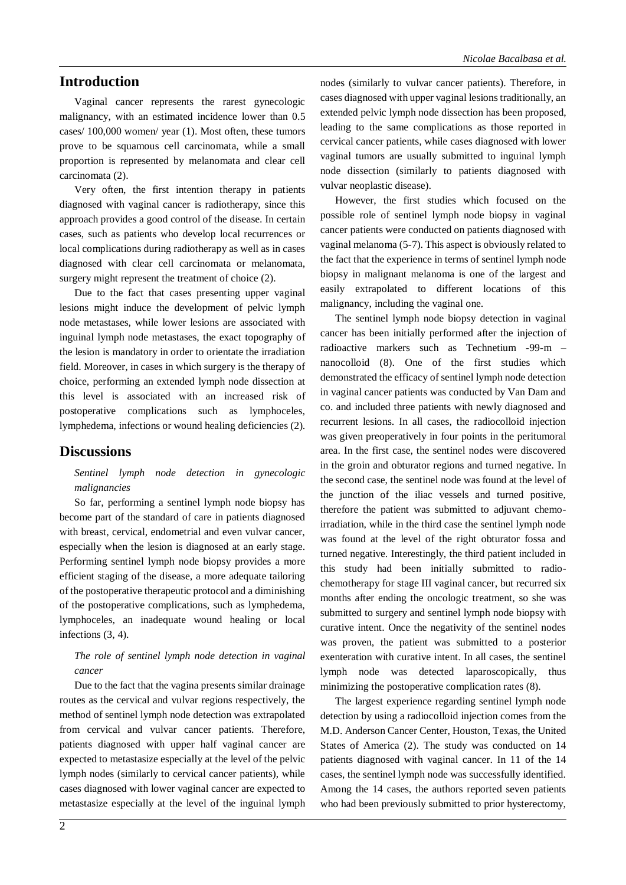#### **Introduction**

Vaginal cancer represents the rarest gynecologic malignancy, with an estimated incidence lower than 0.5 cases/ 100,000 women/ year (1). Most often, these tumors prove to be squamous cell carcinomata, while a small proportion is represented by melanomata and clear cell carcinomata (2).

Very often, the first intention therapy in patients diagnosed with vaginal cancer is radiotherapy, since this approach provides a good control of the disease. In certain cases, such as patients who develop local recurrences or local complications during radiotherapy as well as in cases diagnosed with clear cell carcinomata or melanomata, surgery might represent the treatment of choice (2).

Due to the fact that cases presenting upper vaginal lesions might induce the development of pelvic lymph node metastases, while lower lesions are associated with inguinal lymph node metastases, the exact topography of the lesion is mandatory in order to orientate the irradiation field. Moreover, in cases in which surgery is the therapy of choice, performing an extended lymph node dissection at this level is associated with an increased risk of postoperative complications such as lymphoceles, lymphedema, infections or wound healing deficiencies (2).

#### **Discussions**

#### *Sentinel lymph node detection in gynecologic malignancies*

So far, performing a sentinel lymph node biopsy has become part of the standard of care in patients diagnosed with breast, cervical, endometrial and even vulvar cancer, especially when the lesion is diagnosed at an early stage. Performing sentinel lymph node biopsy provides a more efficient staging of the disease, a more adequate tailoring of the postoperative therapeutic protocol and a diminishing of the postoperative complications, such as lymphedema, lymphoceles, an inadequate wound healing or local infections (3, 4).

#### *The role of sentinel lymph node detection in vaginal cancer*

Due to the fact that the vagina presents similar drainage routes as the cervical and vulvar regions respectively, the method of sentinel lymph node detection was extrapolated from cervical and vulvar cancer patients. Therefore, patients diagnosed with upper half vaginal cancer are expected to metastasize especially at the level of the pelvic lymph nodes (similarly to cervical cancer patients), while cases diagnosed with lower vaginal cancer are expected to metastasize especially at the level of the inguinal lymph cases diagnosed with upper vaginal lesions traditionally, an extended pelvic lymph node dissection has been proposed, leading to the same complications as those reported in cervical cancer patients, while cases diagnosed with lower vaginal tumors are usually submitted to inguinal lymph node dissection (similarly to patients diagnosed with vulvar neoplastic disease). However, the first studies which focused on the

possible role of sentinel lymph node biopsy in vaginal cancer patients were conducted on patients diagnosed with vaginal melanoma (5-7). This aspect is obviously related to the fact that the experience in terms of sentinel lymph node biopsy in malignant melanoma is one of the largest and easily extrapolated to different locations of this malignancy, including the vaginal one.

nodes (similarly to vulvar cancer patients). Therefore, in

The sentinel lymph node biopsy detection in vaginal cancer has been initially performed after the injection of radioactive markers such as Technetium -99-m – nanocolloid (8). One of the first studies which demonstrated the efficacy of sentinel lymph node detection in vaginal cancer patients was conducted by Van Dam and co. and included three patients with newly diagnosed and recurrent lesions. In all cases, the radiocolloid injection was given preoperatively in four points in the peritumoral area. In the first case, the sentinel nodes were discovered in the groin and obturator regions and turned negative. In the second case, the sentinel node was found at the level of the junction of the iliac vessels and turned positive, therefore the patient was submitted to adjuvant chemoirradiation, while in the third case the sentinel lymph node was found at the level of the right obturator fossa and turned negative. Interestingly, the third patient included in this study had been initially submitted to radiochemotherapy for stage III vaginal cancer, but recurred six months after ending the oncologic treatment, so she was submitted to surgery and sentinel lymph node biopsy with curative intent. Once the negativity of the sentinel nodes was proven, the patient was submitted to a posterior exenteration with curative intent. In all cases, the sentinel lymph node was detected laparoscopically, thus minimizing the postoperative complication rates (8).

The largest experience regarding sentinel lymph node detection by using a radiocolloid injection comes from the M.D. Anderson Cancer Center, Houston, Texas, the United States of America (2). The study was conducted on 14 patients diagnosed with vaginal cancer. In 11 of the 14 cases, the sentinel lymph node was successfully identified. Among the 14 cases, the authors reported seven patients who had been previously submitted to prior hysterectomy,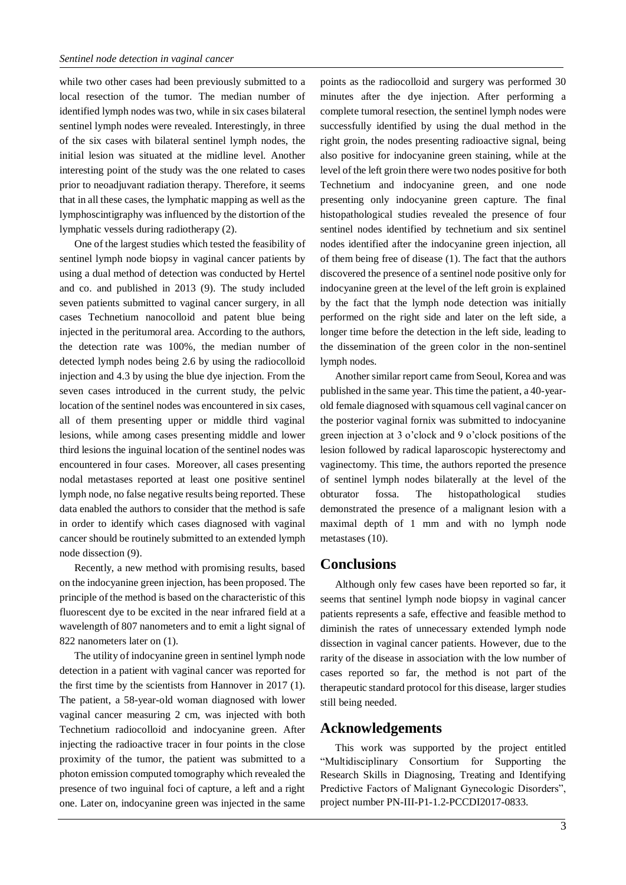while two other cases had been previously submitted to a local resection of the tumor. The median number of identified lymph nodes was two, while in six cases bilateral sentinel lymph nodes were revealed. Interestingly, in three of the six cases with bilateral sentinel lymph nodes, the initial lesion was situated at the midline level. Another interesting point of the study was the one related to cases prior to neoadjuvant radiation therapy. Therefore, it seems that in all these cases, the lymphatic mapping as well as the lymphoscintigraphy was influenced by the distortion of the lymphatic vessels during radiotherapy (2).

One of the largest studies which tested the feasibility of sentinel lymph node biopsy in vaginal cancer patients by using a dual method of detection was conducted by Hertel and co. and published in 2013 (9). The study included seven patients submitted to vaginal cancer surgery, in all cases Technetium nanocolloid and patent blue being injected in the peritumoral area. According to the authors, the detection rate was 100%, the median number of detected lymph nodes being 2.6 by using the radiocolloid injection and 4.3 by using the blue dye injection. From the seven cases introduced in the current study, the pelvic location of the sentinel nodes was encountered in six cases, all of them presenting upper or middle third vaginal lesions, while among cases presenting middle and lower third lesions the inguinal location of the sentinel nodes was encountered in four cases. Moreover, all cases presenting nodal metastases reported at least one positive sentinel lymph node, no false negative results being reported. These data enabled the authors to consider that the method is safe in order to identify which cases diagnosed with vaginal cancer should be routinely submitted to an extended lymph node dissection (9).

Recently, a new method with promising results, based on the indocyanine green injection, has been proposed. The principle of the method is based on the characteristic of this fluorescent dye to be excited in the near infrared field at a wavelength of 807 nanometers and to emit a light signal of 822 nanometers later on (1).

The utility of indocyanine green in sentinel lymph node detection in a patient with vaginal cancer was reported for the first time by the scientists from Hannover in 2017 (1). The patient, a 58-year-old woman diagnosed with lower vaginal cancer measuring 2 cm, was injected with both Technetium radiocolloid and indocyanine green. After injecting the radioactive tracer in four points in the close proximity of the tumor, the patient was submitted to a photon emission computed tomography which revealed the presence of two inguinal foci of capture, a left and a right one. Later on, indocyanine green was injected in the same

points as the radiocolloid and surgery was performed 30 minutes after the dye injection. After performing a complete tumoral resection, the sentinel lymph nodes were successfully identified by using the dual method in the right groin, the nodes presenting radioactive signal, being also positive for indocyanine green staining, while at the level of the left groin there were two nodes positive for both Technetium and indocyanine green, and one node presenting only indocyanine green capture. The final histopathological studies revealed the presence of four sentinel nodes identified by technetium and six sentinel nodes identified after the indocyanine green injection, all of them being free of disease (1). The fact that the authors discovered the presence of a sentinel node positive only for indocyanine green at the level of the left groin is explained by the fact that the lymph node detection was initially performed on the right side and later on the left side, a longer time before the detection in the left side, leading to the dissemination of the green color in the non-sentinel lymph nodes.

Another similar report came from Seoul, Korea and was published in the same year. This time the patient, a 40-yearold female diagnosed with squamous cell vaginal cancer on the posterior vaginal fornix was submitted to indocyanine green injection at 3 o'clock and 9 o'clock positions of the lesion followed by radical laparoscopic hysterectomy and vaginectomy. This time, the authors reported the presence of sentinel lymph nodes bilaterally at the level of the obturator fossa. The histopathological studies demonstrated the presence of a malignant lesion with a maximal depth of 1 mm and with no lymph node metastases (10).

#### **Conclusions**

Although only few cases have been reported so far, it seems that sentinel lymph node biopsy in vaginal cancer patients represents a safe, effective and feasible method to diminish the rates of unnecessary extended lymph node dissection in vaginal cancer patients. However, due to the rarity of the disease in association with the low number of cases reported so far, the method is not part of the therapeutic standard protocol for this disease, larger studies still being needed.

#### **Acknowledgements**

This work was supported by the project entitled "Multidisciplinary Consortium for Supporting the Research Skills in Diagnosing, Treating and Identifying Predictive Factors of Malignant Gynecologic Disorders", project number PN-III-P1-1.2-PCCDI2017-0833.